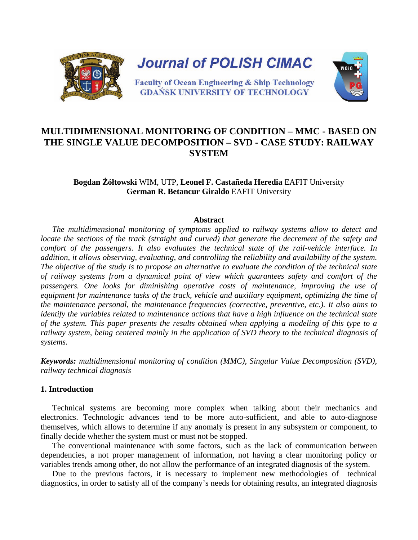

# **MULTIDIMENSIONAL MONITORING OF CONDITION – MMC - BASED ON THE SINGLE VALUE DECOMPOSITION – SVD - CASE STUDY: RAILWAY SYSTEM**

## **Bogdan Żółtowski** WIM, UTP, **Leonel F. Castañeda Heredia** EAFIT University **German R. Betancur Giraldo** EAFIT University

## **Abstract**

*The multidimensional monitoring of symptoms applied to railway systems allow to detect and locate the sections of the track (straight and curved) that generate the decrement of the safety and comfort of the passengers. It also evaluates the technical state of the rail-vehicle interface. In addition, it allows observing, evaluating, and controlling the reliability and availability of the system. The objective of the study is to propose an alternative to evaluate the condition of the technical state of railway systems from a dynamical point of view which guarantees safety and comfort of the passengers. One looks for diminishing operative costs of maintenance, improving the use of equipment for maintenance tasks of the track, vehicle and auxiliary equipment, optimizing the time of the maintenance personal, the maintenance frequencies (corrective, preventive, etc.). It also aims to identify the variables related to maintenance actions that have a high influence on the technical state of the system. This paper presents the results obtained when applying a modeling of this type to a railway system, being centered mainly in the application of SVD theory to the technical diagnosis of systems.*

*Keywords: multidimensional monitoring of condition (MMC), Singular Value Decomposition (SVD), railway technical diagnosis* 

## **1. Introduction**

Technical systems are becoming more complex when talking about their mechanics and electronics. Technologic advances tend to be more auto-sufficient, and able to auto-diagnose themselves, which allows to determine if any anomaly is present in any subsystem or component, to finally decide whether the system must or must not be stopped.

The conventional maintenance with some factors, such as the lack of communication between dependencies, a not proper management of information, not having a clear monitoring policy or variables trends among other, do not allow the performance of an integrated diagnosis of the system.

Due to the previous factors, it is necessary to implement new methodologies of technical diagnostics, in order to satisfy all of the company's needs for obtaining results, an integrated diagnosis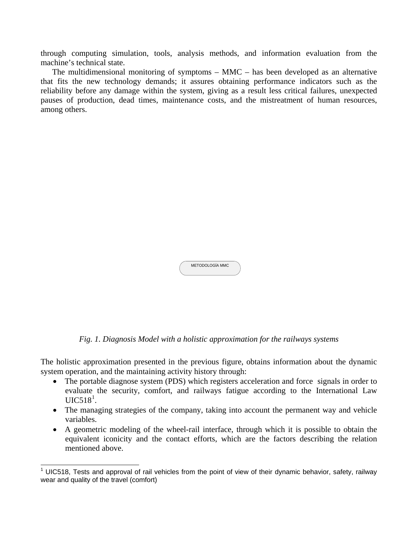through computing simulation, tools, analysis methods, and information evaluation from the machine's technical state.

The multidimensional monitoring of symptoms – MMC – has been developed as an alternative that fits the new technology demands; it assures obtaining performance indicators such as the reliability before any damage within the system, giving as a result less critical failures, unexpected pauses of production, dead times, maintenance costs, and the mistreatment of human resources, among others.

| METODOLOGÍA MMC |  |
|-----------------|--|
|                 |  |

*Fig. 1. Diagnosis Model with a holistic approximation for the railways systems*

The holistic approximation presented in the previous figure, obtains information about the dynamic system operation, and the maintaining activity history through:

- The portable diagnose system (PDS) which registers acceleration and force signals in order to evaluate the security, comfort, and railways fatigue according to the International Law  $UIC518<sup>1</sup>$  $UIC518<sup>1</sup>$  $UIC518<sup>1</sup>$ .
- The managing strategies of the company, taking into account the permanent way and vehicle variables.
- A geometric modeling of the wheel-rail interface, through which it is possible to obtain the equivalent iconicity and the contact efforts, which are the factors describing the relation mentioned above.

<span id="page-1-0"></span> $\overline{a}$  $1$  UIC518, Tests and approval of rail vehicles from the point of view of their dynamic behavior, safety, railway wear and quality of the travel (comfort)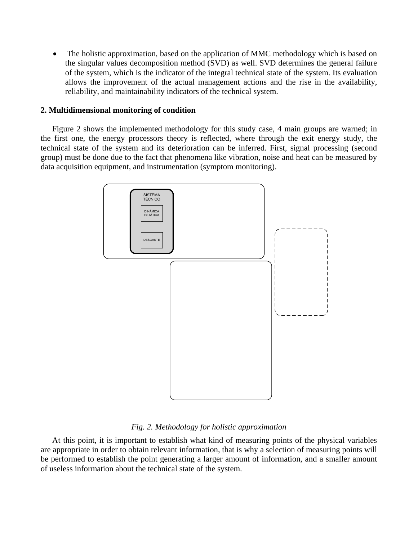• The holistic approximation, based on the application of MMC methodology which is based on the singular values decomposition method (SVD) as well. SVD determines the general failure of the system, which is the indicator of the integral technical state of the system. Its evaluation allows the improvement of the actual management actions and the rise in the availability, reliability, and maintainability indicators of the technical system.

## **2. Multidimensional monitoring of condition**

Figure 2 shows the implemented methodology for this study case, 4 main groups are warned; in the first one, the energy processors theory is reflected, where through the exit energy study, the technical state of the system and its deterioration can be inferred. First, signal processing (second group) must be done due to the fact that phenomena like vibration, noise and heat can be measured by data acquisition equipment, and instrumentation (symptom monitoring).



*Fig. 2. Methodology for holistic approximation* 

At this point, it is important to establish what kind of measuring points of the physical variables are appropriate in order to obtain relevant information, that is why a selection of measuring points will be performed to establish the point generating a larger amount of information, and a smaller amount of useless information about the technical state of the system.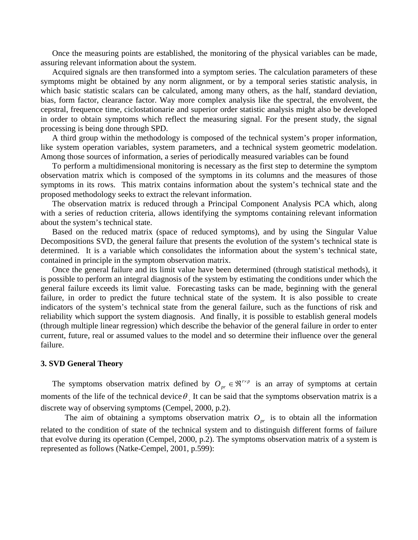Once the measuring points are established, the monitoring of the physical variables can be made, assuring relevant information about the system.

Acquired signals are then transformed into a symptom series. The calculation parameters of these symptoms might be obtained by any norm alignment, or by a temporal series statistic analysis, in which basic statistic scalars can be calculated, among many others, as the half, standard deviation, bias, form factor, clearance factor. Way more complex analysis like the spectral, the envolvent, the cepstral, frequence time, ciclostationarie and superior order statistic analysis might also be developed in order to obtain symptoms which reflect the measuring signal. For the present study, the signal processing is being done through SPD.

A third group within the methodology is composed of the technical system's proper information, like system operation variables, system parameters, and a technical system geometric modelation. Among those sources of information, a series of periodically measured variables can be found

To perform a multidimensional monitoring is necessary as the first step to determine the symptom observation matrix which is composed of the symptoms in its columns and the measures of those symptoms in its rows. This matrix contains information about the system's technical state and the proposed methodology seeks to extract the relevant information.

The observation matrix is reduced through a Principal Component Analysis PCA which, along with a series of reduction criteria, allows identifying the symptoms containing relevant information about the system's technical state.

Based on the reduced matrix (space of reduced symptoms), and by using the Singular Value Decompositions SVD, the general failure that presents the evolution of the system's technical state is determined. It is a variable which consolidates the information about the system's technical state, contained in principle in the symptom observation matrix.

Once the general failure and its limit value have been determined (through statistical methods), it is possible to perform an integral diagnosis of the system by estimating the conditions under which the general failure exceeds its limit value. Forecasting tasks can be made, beginning with the general failure, in order to predict the future technical state of the system. It is also possible to create indicators of the system's technical state from the general failure, such as the functions of risk and reliability which support the system diagnosis. And finally, it is possible to establish general models (through multiple linear regression) which describe the behavior of the general failure in order to enter current, future, real or assumed values to the model and so determine their influence over the general failure.

#### **3. SVD General Theory**

The symptoms observation matrix defined by  $O_{pr} \in \mathbb{R}^{r \times p}$  is an array of symptoms at certain moments of the life of the technical device  $\theta$ . It can be said that the symptoms observation matrix is a discrete way of observing symptoms (Cempel, 2000, p.2).

The aim of obtaining a symptoms observation matrix  $O_{pr}$  is to obtain all the information related to the condition of state of the technical system and to distinguish different forms of failure that evolve during its operation (Cempel, 2000, p.2). The symptoms observation matrix of a system is represented as follows (Natke-Cempel, 2001, p.599):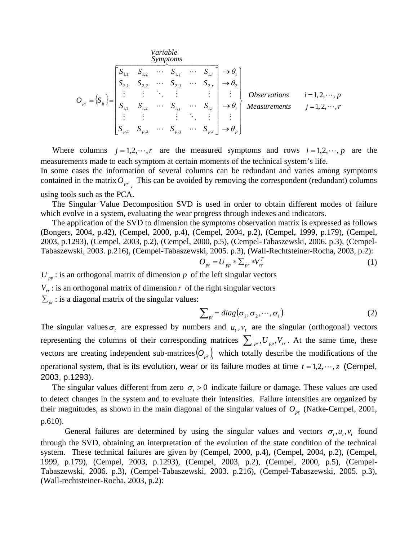*Variable*

$$
O_{pr} = \left\{ S_{ij} \right\} = \begin{bmatrix} S_{1,1} & S_{1,2} & \cdots & S_{1,j} & \cdots & S_{1,r} \\ S_{2,1} & S_{2,2} & \cdots & S_{2,j} & \cdots & S_{2,r} \\ \vdots & \vdots & \ddots & \vdots & \vdots & \vdots \\ S_{i,1} & S_{i,2} & \cdots & S_{i,j} & \cdots & S_{i,r} \\ \vdots & \vdots & \vdots & \ddots & \vdots & \vdots \\ S_{p,1} & S_{p,2} & \cdots & S_{p,j} & \cdots & S_{p,r} \end{bmatrix} \rightarrow \theta_i \begin{bmatrix} \text{Observations} & i=1,2,\cdots,p \\ \text{Observations} & i=1,2,\cdots,p \\ \text{Measurements} & j=1,2,\cdots,p \\ \vdots & \vdots & \ddots & \vdots \\ S_{p,1} & S_{p,2} & \cdots & S_{p,j} & \cdots & S_{p,r} \end{bmatrix} \rightarrow \theta_p \end{bmatrix}
$$

Where columns  $j = 1,2,\dots,r$  are the measured symptoms and rows  $i = 1,2,\dots,p$  are the measurements made to each symptom at certain moments of the technical system's life.

In some cases the information of several columns can be redundant and varies among symptoms contained in the matrix  $O_{pr}$  . This can be avoided by removing the correspondent (redundant) columns using tools such as the PCA.

The Singular Value Decomposition SVD is used in order to obtain different modes of failure which evolve in a system, evaluating the wear progress through indexes and indicators.

The application of the SVD to dimension the symptoms observation matrix is expressed as follows (Bongers, 2004, p.42), (Cempel, 2000, p.4), (Cempel, 2004, p.2), (Cempel, 1999, p.179), (Cempel, 2003, p.1293), (Cempel, 2003, p.2), (Cempel, 2000, p.5), (Cempel-Tabaszewski, 2006. p.3), (Cempel-Tabaszewski, 2003. p.216), (Cempel-Tabaszewski, 2005. p.3), (Wall-Rechtsteiner-Rocha, 2003, p.2):

$$
O_{pr} = U_{pp} * \sum_{pr} * V_{rr}^T \tag{1}
$$

 $U_{pp}$ : is an orthogonal matrix of dimension *p* of the left singular vectors

 $V_r$ : is an orthogonal matrix of dimension *r* of the right singular vectors

 $\sum_{pr}$ : is a diagonal matrix of the singular values:

$$
\sum_{pr} = diag(\sigma_1, \sigma_2, \cdots, \sigma_i)
$$
 (2)

The singular values  $\sigma_t$  are expressed by numbers and  $u_t$ ,  $v_t$  are the singular (orthogonal) vectors representing the columns of their corresponding matrices  $\sum_{pr} U_{pr} V_{rr}$ . At the same time, these vectors are creating independent sub-matrices $(O_{pr})$ , which totally describe the modifications of the operational system, that is its evolution, wear or its failure modes at time  $t = 1,2,\dots,z$  (Cempel, 2003, p.1293).

The singular values different from zero  $\sigma_t > 0$  indicate failure or damage. These values are used to detect changes in the system and to evaluate their intensities. Failure intensities are organized by their magnitudes, as shown in the main diagonal of the singular values of  $O_{pr}$  (Natke-Cempel, 2001, p.610).

General failures are determined by using the singular values and vectors  $\sigma_t, u_t, v_t$  found through the SVD, obtaining an interpretation of the evolution of the state condition of the technical system. These technical failures are given by (Cempel, 2000, p.4), (Cempel, 2004, p.2), (Cempel, 1999, p.179), (Cempel, 2003, p.1293), (Cempel, 2003, p.2), (Cempel, 2000, p.5), (Cempel-Tabaszewski, 2006. p.3), (Cempel-Tabaszewski, 2003. p.216), (Cempel-Tabaszewski, 2005. p.3), (Wall-rechtsteiner-Rocha, 2003, p.2):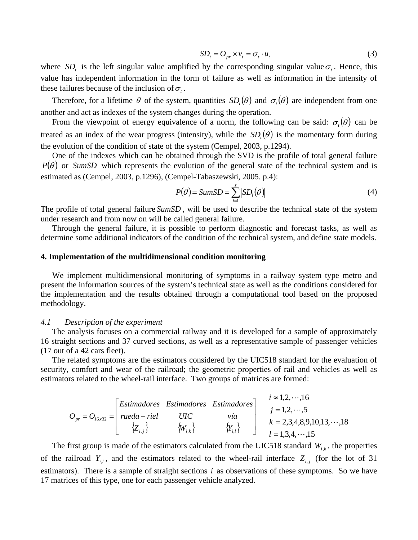$$
SDt = Opr \times vt = \sigmat \cdot ut
$$
 (3)

where *SD<sub>t</sub>* is the left singular value amplified by the corresponding singular value  $\sigma_t$ . Hence, this value has independent information in the form of failure as well as information in the intensity of these failures because of the inclusion of  $\sigma_t$ .

Therefore, for a lifetime  $\theta$  of the system, quantities  $SD(\theta)$  and  $\sigma(\theta)$  are independent from one another and act as indexes of the system changes during the operation.

From the viewpoint of energy equivalence of a norm, the following can be said:  $\sigma_i(\theta)$  can be treated as an index of the wear progress (intensity), while the  $SD<sub>i</sub>(\theta)$  is the momentary form during the evolution of the condition of state of the system (Cempel, 2003, p.1294).

One of the indexes which can be obtained through the SVD is the profile of total general failure  $P(\theta)$  or *SumSD* which represents the evolution of the general state of the technical system and is estimated as (Cempel, 2003, p.1296), (Cempel-Tabaszewski, 2005. p.4):

$$
P(\theta) = SumSD = \sum_{i=1}^{z} |SD_i(\theta)|
$$
\n(4)

The profile of total general failure *SumSD* , will be used to describe the technical state of the system under research and from now on will be called general failure.

Through the general failure, it is possible to perform diagnostic and forecast tasks, as well as determine some additional indicators of the condition of the technical system, and define state models.

#### **4. Implementation of the multidimensional condition monitoring**

We implement multidimensional monitoring of symptoms in a railway system type metro and present the information sources of the system's technical state as well as the conditions considered for the implementation and the results obtained through a computational tool based on the proposed methodology.

#### *4.1 Description of the experiment*

The analysis focuses on a commercial railway and it is developed for a sample of approximately 16 straight sections and 37 curved sections, as well as a representative sample of passenger vehicles (17 out of a 42 cars fleet).

The related symptoms are the estimators considered by the UIC518 standard for the evaluation of security, comfort and wear of the railroad; the geometric properties of rail and vehicles as well as estimators related to the wheel-rail interface. Two groups of matrices are formed:

$$
O_{pr} = O_{16x32} = \begin{bmatrix} Estimadores & Estimadores & Estimadores \\ rueda - riel & UIC & vía \\ \{Z_{i,j}\} & \{W_{i,k}\} & \{Y_{i,l}\} \end{bmatrix} \begin{matrix} i \approx 1,2,\cdots,16 \\ j = 1,2,\cdots,5 \\ k = 2,3,4,8,9,10,13,\cdots,18 \\ l = 1,3,4,\cdots,15 \end{matrix}
$$

The first group is made of the estimators calculated from the UIC518 standard  $W_{i,k}$ , the properties of the railroad  $Y_{i,l}$ , and the estimators related to the wheel-rail interface  $Z_{i,j}$  (for the lot of 31 estimators). There is a sample of straight sections *i* as observations of these symptoms. So we have 17 matrices of this type, one for each passenger vehicle analyzed.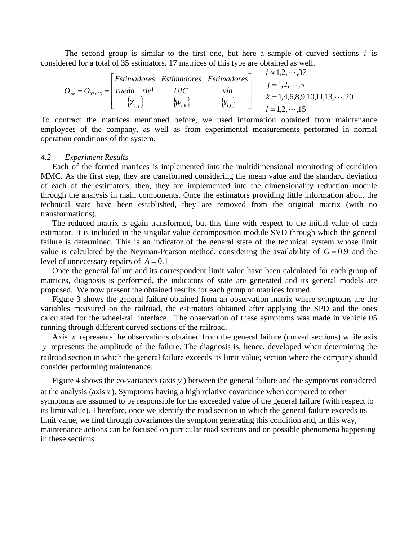The second group is similar to the first one, but here a sample of curved sections *i* is considered for a total of 35 estimators. 17 matrices of this type are obtained as well.

|                                                      |  |                | $\lceil$ Estimadores Estimadores Estimadores $\rceil$ | $i \approx 1, 2, \cdots, 37$                               |
|------------------------------------------------------|--|----------------|-------------------------------------------------------|------------------------------------------------------------|
| $O_{pr} = O_{37x35} =   \text{ rued}a - \text{riel}$ |  | UIC            | vía                                                   | $i = 1, 2, \dots, 5$<br>$k = 1,4,6,8,9,10,11,13,\cdots,20$ |
|                                                      |  | $\{W_{i,k}\}\$ | $\{Y_{i,l}\}$                                         | $l = 1, 2, \cdots, 15$                                     |

To contract the matrices mentioned before, we used information obtained from maintenance employees of the company, as well as from experimental measurements performed in normal operation conditions of the system.

### *4.2 Experiment Results*

Each of the formed matrices is implemented into the multidimensional monitoring of condition MMC. As the first step, they are transformed considering the mean value and the standard deviation of each of the estimators; then, they are implemented into the dimensionality reduction module through the analysis in main components. Once the estimators providing little information about the technical state have been established, they are removed from the original matrix (with no transformations).

The reduced matrix is again transformed, but this time with respect to the initial value of each estimator. It is included in the singular value decomposition module SVD through which the general failure is determined. This is an indicator of the general state of the technical system whose limit value is calculated by the Neyman-Pearson method, considering the availability of  $G = 0.9$  and the level of unnecessary repairs of  $A = 0.1$ 

Once the general failure and its correspondent limit value have been calculated for each group of matrices, diagnosis is performed, the indicators of state are generated and its general models are proposed. We now present the obtained results for each group of matrices formed.

Figure 3 shows the general failure obtained from an observation matrix where symptoms are the variables measured on the railroad, the estimators obtained after applying the SPD and the ones calculated for the wheel-rail interface. The observation of these symptoms was made in vehicle 05 running through different curved sections of the railroad.

Axis *x* represents the observations obtained from the general failure (curved sections) while axis *y* represents the amplitude of the failure. The diagnosis is, hence, developed when determining the railroad section in which the general failure exceeds its limit value; section where the company should consider performing maintenance.

Figure 4 shows the co-variances (axis *y* ) between the general failure and the symptoms considered at the analysis (axis *x* ). Symptoms having a high relative covariance when compared to other symptoms are assumed to be responsible for the exceeded value of the general failure (with respect to its limit value). Therefore, once we identify the road section in which the general failure exceeds its limit value, we find through covariances the symptom generating this condition and, in this way, maintenance actions can be focused on particular road sections and on possible phenomena happening in these sections.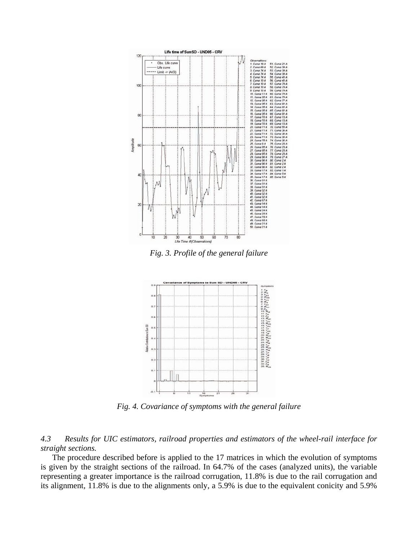

*Fig. 3. Profile of the general failure*



*Fig. 4. Covariance of symptoms with the general failure* 

*4.3 Results for UIC estimators, railroad properties and estimators of the wheel-rail interface for straight sections.* 

The procedure described before is applied to the 17 matrices in which the evolution of symptoms is given by the straight sections of the railroad. In 64.7% of the cases (analyzed units), the variable representing a greater importance is the railroad corrugation, 11.8% is due to the rail corrugation and its alignment, 11.8% is due to the alignments only, a 5.9% is due to the equivalent conicity and 5.9%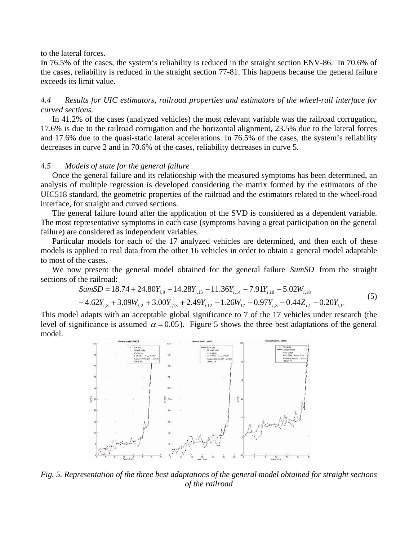to the lateral forces.

In 76.5% of the cases, the system's reliability is reduced in the straight section ENV-86. In 70.6% of the cases, reliability is reduced in the straight section 77-81. This happens because the general failure exceeds its limit value.

*4.4 Results for UIC estimators, railroad properties and estimators of the wheel-rail interface for curved sections.* 

In 41.2% of the cases (analyzed vehicles) the most relevant variable was the railroad corrugation, 17.6% is due to the railroad corrugation and the horizontal alignment, 23.5% due to the lateral forces and 17.6% due to the quasi-static lateral accelerations. In 76.5% of the cases, the system's reliability decreases in curve 2 and in 70.6% of the cases, reliability decreases in curve 5.

## *4.5 Models of state for the general failure*

Once the general failure and its relationship with the measured symptoms has been determined, an analysis of multiple regression is developed considering the matrix formed by the estimators of the UIC518 standard, the geometric properties of the railroad and the estimators related to the wheel-road interface, for straight and curved sections.

The general failure found after the application of the SVD is considered as a dependent variable. The most representative symptoms in each case (symptoms having a great participation on the general failure) are considered as independent variables.

Particular models for each of the 17 analyzed vehicles are determined, and then each of these models is applied to real data from the other 16 vehicles in order to obtain a general model adaptable to most of the cases.

We now present the general model obtained for the general failure *SumSD* from the straight sections of the railroad:

SumSD = 
$$
18.74 + 24.80Y_{i,9} + 14.28Y_{i,15} - 11.36Y_{i,14} - 7.91Y_{i,10} - 5.02W_{i,18}
$$
  
- $4.62Y_{i,8} + 3.09W_{i,2} + 3.00Y_{i,13} + 2.49Y_{i,12} - 1.26W_{17} - 0.97Y_{i,3} - 0.44Z_{i,1} - 0.20Y_{i,11}$  (5)

This model adapts with an acceptable global significance to 7 of the 17 vehicles under research (the level of significance is assumed  $\alpha = 0.05$ ). Figure 5 shows the three best adaptations of the general model.



*Fig. 5. Representation of the three best adaptations of the general model obtained for straight sections of the railroad*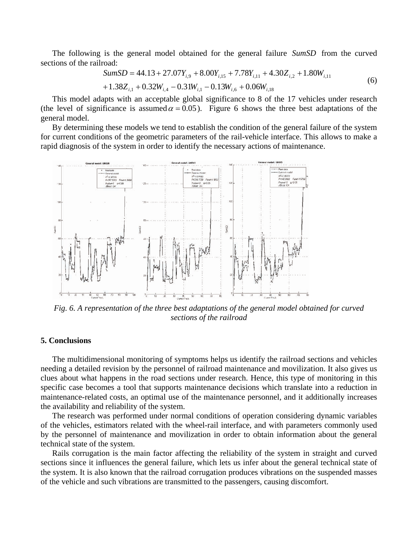The following is the general model obtained for the general failure *SumSD* from the curved sections of the railroad:

$$
SumSD = 44.13 + 27.07Y_{i,9} + 8.00Y_{i,15} + 7.78Y_{i,11} + 4.30Z_{i,2} + 1.80W_{i,11} + 1.38Z_{i,1} + 0.32W_{i,4} - 0.31W_{i,1} - 0.13W_{i,6} + 0.06W_{i,18}
$$
\n(6)

This model adapts with an acceptable global significance to 8 of the 17 vehicles under research (the level of significance is assumed  $\alpha = 0.05$ ). Figure 6 shows the three best adaptations of the general model.

By determining these models we tend to establish the condition of the general failure of the system for current conditions of the geometric parameters of the rail-vehicle interface. This allows to make a rapid diagnosis of the system in order to identify the necessary actions of maintenance.



*Fig. 6. A representation of the three best adaptations of the general model obtained for curved sections of the railroad*

#### **5. Conclusions**

The multidimensional monitoring of symptoms helps us identify the railroad sections and vehicles needing a detailed revision by the personnel of railroad maintenance and movilization. It also gives us clues about what happens in the road sections under research. Hence, this type of monitoring in this specific case becomes a tool that supports maintenance decisions which translate into a reduction in maintenance-related costs, an optimal use of the maintenance personnel, and it additionally increases the availability and reliability of the system.

The research was performed under normal conditions of operation considering dynamic variables of the vehicles, estimators related with the wheel-rail interface, and with parameters commonly used by the personnel of maintenance and movilization in order to obtain information about the general technical state of the system.

Rails corrugation is the main factor affecting the reliability of the system in straight and curved sections since it influences the general failure, which lets us infer about the general technical state of the system. It is also known that the railroad corrugation produces vibrations on the suspended masses of the vehicle and such vibrations are transmitted to the passengers, causing discomfort.